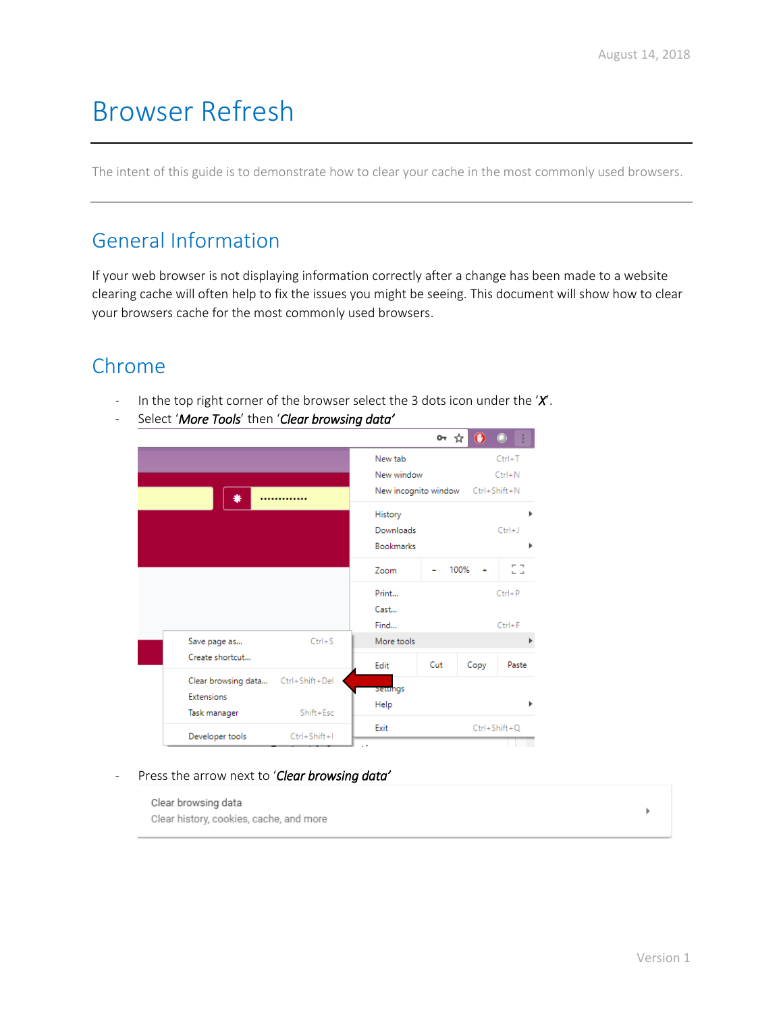# Browser Refresh

The intent of this guide is to demonstrate how to clear your cache in the most commonly used browsers.

#### General Information

If your web browser is not displaying information correctly after a change has been made to a website clearing cache will often help to fix the issues you might be seeing. This document will show how to clear your browsers cache for the most commonly used browsers.

### Chrome

- In the top right corner of the browser select the 3 dots icon under the '*X*'.
- Select '*More Tools*' then '*Clear browsing data'*

|                     |                |                      | ᠳ   |             |                    |
|---------------------|----------------|----------------------|-----|-------------|--------------------|
|                     |                | New tab              |     |             | $Ctrl+T$           |
|                     |                | New window           |     |             | $Ctrl + N$         |
| ₩                   |                | New incognito window |     |             | $Ctrl + Shift + N$ |
|                     |                | History              |     |             |                    |
|                     |                | Downloads            |     |             | $Ctrl + J$         |
|                     |                | <b>Bookmarks</b>     |     |             |                    |
|                     |                | Zoom                 |     | 100%<br>$+$ |                    |
|                     |                | Print                |     |             | $Ctrl + P$         |
|                     |                | Cast                 |     |             |                    |
|                     |                | Find                 |     |             | $Ctrl + F$         |
| Save page as        | $Ctrl + S$     | More tools           |     |             |                    |
| Create shortcut     |                | Edit                 | Cut | Copy        | Paste              |
| Clear browsing data | Ctrl+Shift+Del | Setungs              |     |             |                    |
| Extensions          |                | Help                 |     |             |                    |
| Task manager        | Shift+Esc      |                      |     |             |                    |
| Developer tools     | Ctrl+Shift+I   | Exit                 |     |             | $Ctrl + Shift + Q$ |

#### - Press the arrow next to '*Clear browsing data'*

Clear browsing data Clear history, cookies, cache, and more

Version 1

Þ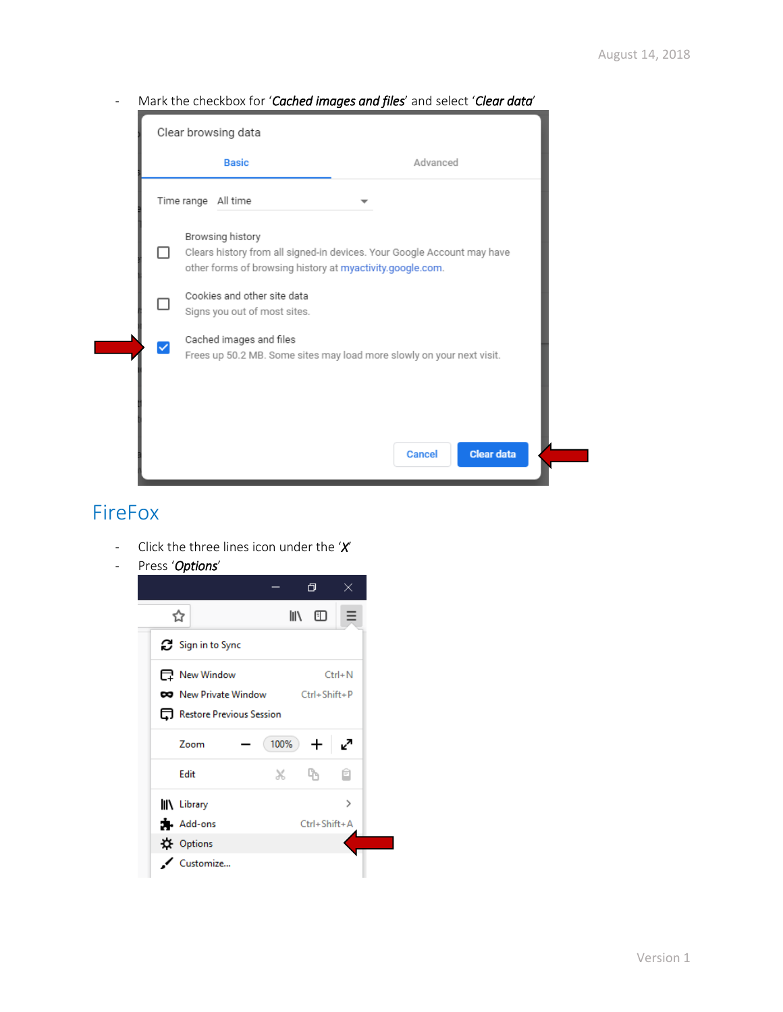- Mark the checkbox for '*Cached images and files*' and select '*Clear data*'

|  | Clear browsing data                                         |                                                                                                                                      |
|--|-------------------------------------------------------------|--------------------------------------------------------------------------------------------------------------------------------------|
|  | <b>Basic</b>                                                | Advanced                                                                                                                             |
|  | Time range All time                                         |                                                                                                                                      |
|  | Browsing history                                            | Clears history from all signed-in devices. Your Google Account may have<br>other forms of browsing history at myactivity.google.com. |
|  | Cookies and other site data<br>Signs you out of most sites. |                                                                                                                                      |
|  | Cached images and files                                     | Frees up 50.2 MB. Some sites may load more slowly on your next visit.                                                                |
|  |                                                             |                                                                                                                                      |
|  |                                                             | <b>Clear data</b><br>Cancel                                                                                                          |

#### FireFox

- Click the three lines icon under the '*X*'
- Press '*Options*'

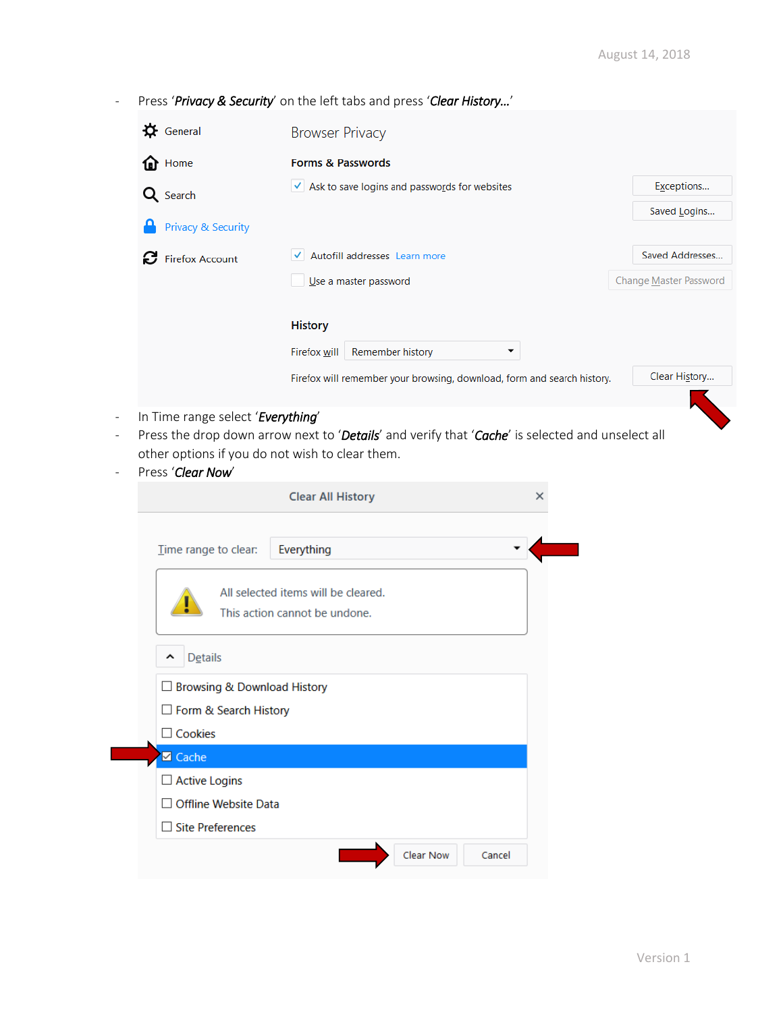- Press '*Privacy & Security*' on the left tabs and press '*Clear History…*'

| $\mathbf{\ddot{Q}}$ General                                                          | <b>Browser Privacy</b>                                                                                                        |                        |
|--------------------------------------------------------------------------------------|-------------------------------------------------------------------------------------------------------------------------------|------------------------|
| ⋒<br>Home                                                                            | <b>Forms &amp; Passwords</b>                                                                                                  |                        |
| Q Search                                                                             | $\checkmark$ Ask to save logins and passwords for websites                                                                    | Exceptions             |
| <b>Privacy &amp; Security</b>                                                        |                                                                                                                               | Saved Logins           |
| <b>B</b> Firefox Account                                                             | Autofill addresses Learn more                                                                                                 | Saved Addresses        |
|                                                                                      | Use a master password                                                                                                         | Change Master Password |
|                                                                                      | <b>History</b><br>Firefox will<br>Remember history<br>Firefox will remember your browsing, download, form and search history. | Clear History          |
| In Time range select 'Everything'<br>other options if you do not wish to clear them. | Press the drop down arrow next to 'Details' and verify that 'Cache' is selected and unselect all                              |                        |

- Press '*Clear Now*'

|                                             | <b>Clear All History</b>                                             |           | ×      |
|---------------------------------------------|----------------------------------------------------------------------|-----------|--------|
| Time range to clear:                        | Everything                                                           |           |        |
|                                             | All selected items will be cleared.<br>This action cannot be undone. |           |        |
| Details<br>ㅅ                                |                                                                      |           |        |
| □ Browsing & Download History               |                                                                      |           |        |
| □ Form & Search History                     |                                                                      |           |        |
| $\Box$ Cookies                              |                                                                      |           |        |
| <b>Ø</b> Cache                              |                                                                      |           |        |
| $\Box$ Active Logins                        |                                                                      |           |        |
| <b>Offline Website Data</b><br>$\mathbf{I}$ |                                                                      |           |        |
| $\Box$ Site Preferences                     |                                                                      |           |        |
|                                             |                                                                      | Clear Now | Cancel |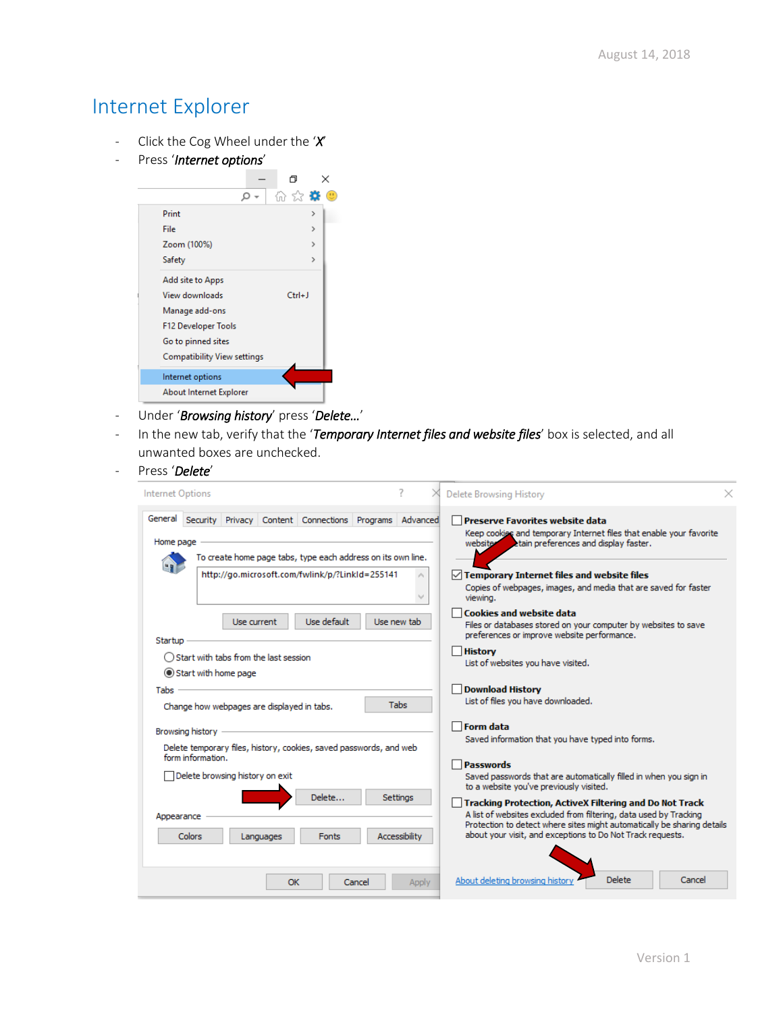## Internet Explorer

- Click the Cog Wheel under the '*X*'
- Press '*Internet options*'



- Under '*Browsing history*' press '*Delete…*'
- In the new tab, verify that the '*Temporary Internet files and website files*' box is selected, and all unwanted boxes are unchecked.
- Press '*Delete*'

| Internet Options                                                                                                                               | <b>Delete Browsing History</b>                                                                                                                                                                                                                                                                            |
|------------------------------------------------------------------------------------------------------------------------------------------------|-----------------------------------------------------------------------------------------------------------------------------------------------------------------------------------------------------------------------------------------------------------------------------------------------------------|
| General<br>Security Privacy Content Connections Programs Advanced<br>Home page<br>To create home page tabs, type each address on its own line. | <b>Preserve Favorites website data</b><br>Keep cookies and temporary Internet files that enable your favorite<br>website<br>etain preferences and display faster.                                                                                                                                         |
| http://go.microsoft.com/fwlink/p/?LinkId=255141                                                                                                | $\vee$ Temporary Internet files and website files<br>Copies of webpages, images, and media that are saved for faster<br>viewing.                                                                                                                                                                          |
| Use default<br>Use current<br>Startup                                                                                                          | <b>Cookies and website data</b><br>Use new tab<br>Files or databases stored on your computer by websites to save<br>preferences or improve website performance.                                                                                                                                           |
| ◯ Start with tabs from the last session<br>Start with home page                                                                                | <b>History</b><br>List of websites you have visited.                                                                                                                                                                                                                                                      |
| Tabs<br>Change how webpages are displayed in tabs.                                                                                             | <b>Download History</b><br>List of files you have downloaded.<br><b>Tabs</b>                                                                                                                                                                                                                              |
| Browsing history<br>Delete temporary files, history, cookies, saved passwords, and web                                                         | <b>Form data</b><br>Saved information that you have typed into forms.                                                                                                                                                                                                                                     |
| form information.<br>Delete browsing history on exit                                                                                           | <b>Passwords</b><br>Saved passwords that are automatically filled in when you sign in<br>to a website you've previously visited.                                                                                                                                                                          |
| Delete<br>Appearance<br>Colors<br><b>Fonts</b><br>Languages                                                                                    | Settinas<br><b>Tracking Protection, ActiveX Filtering and Do Not Track</b><br>A list of websites excluded from filtering, data used by Tracking<br>Protection to detect where sites might automatically be sharing details<br>about your visit, and exceptions to Do Not Track requests.<br>Accessibility |
| OK<br>Cancel                                                                                                                                   | Delete<br>About deleting browsing histor<br>Cancel<br>Apply                                                                                                                                                                                                                                               |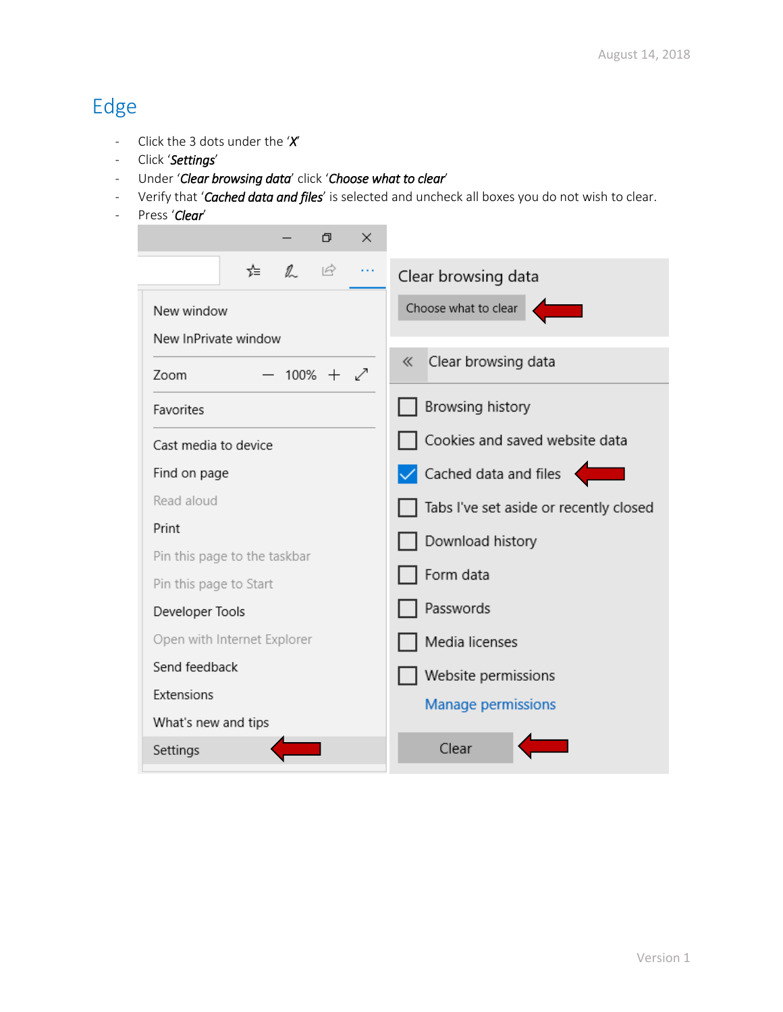# Edge

- Click the 3 dots under the '*X*'
- Click '*Settings*'
- Under '*Clear browsing data*' click '*Choose what to clear*'
- Verify that '*Cached data and files*' is selected and uncheck all boxes you do not wish to clear.

٠

- Press '*Clear*'

| O<br>×                                     |                                            |
|--------------------------------------------|--------------------------------------------|
| $\mathbb{Z}$<br>$\overrightarrow{P}$<br>≴≡ | Clear browsing data                        |
| New window                                 | Choose what to clear                       |
| New InPrivate window                       |                                            |
| $100\% + \swarrow$<br>Zoom                 | Clear browsing data<br>《                   |
| Favorites                                  | Browsing history                           |
| Cast media to device                       | Cookies and saved website data             |
| Find on page                               | $\sqrt{\phantom{a}}$ Cached data and files |
| Read aloud                                 | Tabs I've set aside or recently closed     |
| Print                                      | Download history                           |
| Pin this page to the taskbar               |                                            |
| Pin this page to Start                     | Form data                                  |
| Developer Tools                            | Passwords                                  |
| Open with Internet Explorer                | Media licenses                             |
| Send feedback                              | Website permissions                        |
| Extensions                                 | Manage permissions                         |
| What's new and tips                        |                                            |
| Settings                                   | Clear                                      |